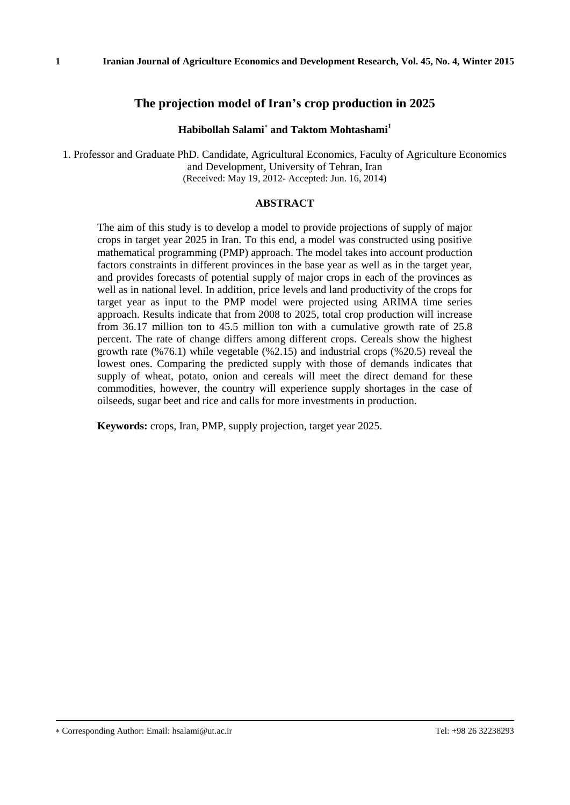## **Habibollah Salami and Taktom Mohtashami<sup>1</sup>**

1. Professor and Graduate PhD. Candidate, Agricultural Economics, Faculty of Agriculture Economics and Development, University of Tehran, Iran (Received: May 19, 2012- Accepted: Jun. 16, 2014)

### **ABSTRACT**

The aim of this study is to develop a model to provide projections of supply of major crops in target year 2025 in Iran. To this end, a model was constructed using positive mathematical programming (PMP) approach. The model takes into account production factors constraints in different provinces in the base year as well as in the target year, and provides forecasts of potential supply of major crops in each of the provinces as well as in national level. In addition, price levels and land productivity of the crops for target year as input to the PMP model were projected using ARIMA time series approach. Results indicate that from 2008 to 2025, total crop production will increase from 36.17 million ton to 45.5 million ton with a cumulative growth rate of 25.8 percent. The rate of change differs among different crops. Cereals show the highest growth rate  $(\frac{6}{76.1})$  while vegetable  $(\frac{6}{2.15})$  and industrial crops  $(\frac{6}{20.5})$  reveal the lowest ones. Comparing the predicted supply with those of demands indicates that supply of wheat, potato, onion and cereals will meet the direct demand for these commodities, however, the country will experience supply shortages in the case of oilseeds, sugar beet and rice and calls for more investments in production.

**Keywords:** crops, Iran, PMP, supply projection, target year 2025.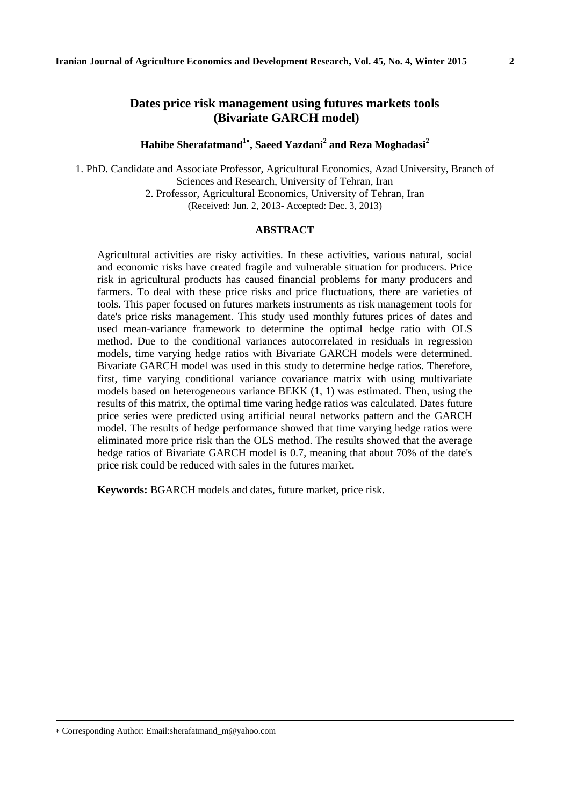## **Dates price risk management using futures markets tools (Bivariate GARCH model)**

**Habibe Sherafatmand 1 , Saeed Yazdani<sup>2</sup> and Reza Moghadasi<sup>2</sup>**

1. PhD. Candidate and Associate Professor, Agricultural Economics, Azad University, Branch of Sciences and Research, University of Tehran, Iran 2. Professor, Agricultural Economics, University of Tehran, Iran (Received: Jun. 2, 2013- Accepted: Dec. 3, 2013)

#### **ABSTRACT**

Agricultural activities are risky activities. In these activities, various natural, social and economic risks have created fragile and vulnerable situation for producers. Price risk in agricultural products has caused financial problems for many producers and farmers. To deal with these price risks and price fluctuations, there are varieties of tools. This paper focused on futures markets instruments as risk management tools for date's price risks management. This study used monthly futures prices of dates and used mean-variance framework to determine the optimal hedge ratio with OLS method. Due to the conditional variances autocorrelated in residuals in regression models, time varying hedge ratios with Bivariate GARCH models were determined. Bivariate GARCH model was used in this study to determine hedge ratios. Therefore, first, time varying conditional variance covariance matrix with using multivariate models based on heterogeneous variance BEKK (1, 1) was estimated. Then, using the results of this matrix, the optimal time varing hedge ratios was calculated. Dates future price series were predicted using artificial neural networks pattern and the GARCH model. The results of hedge performance showed that time varying hedge ratios were eliminated more price risk than the OLS method. The results showed that the average hedge ratios of Bivariate GARCH model is 0.7, meaning that about 70% of the date's price risk could be reduced with sales in the futures market.

**Keywords:** BGARCH models and dates, future market, price risk.

Corresponding Author: Email:sherafatmand\_m@yahoo.com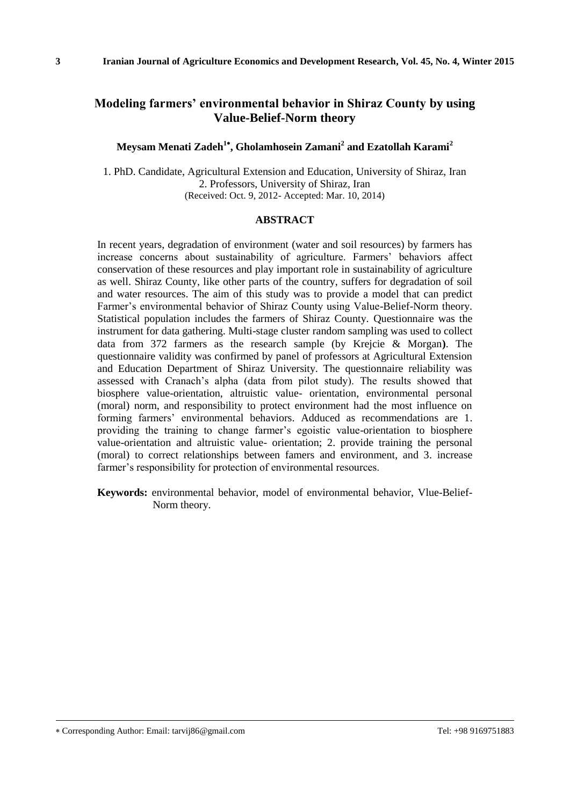## **Modeling farmers' environmental behavior in Shiraz County by using Value-Belief-Norm theory**

### **Meysam Menati Zadeh<sup>1</sup> , Gholamhosein Zamani<sup>2</sup> and Ezatollah Karami<sup>2</sup>**

1. PhD. Candidate, Agricultural Extension and Education, University of Shiraz, Iran 2. Professors, University of Shiraz, Iran (Received: Oct. 9, 2012- Accepted: Mar. 10, 2014)

#### **ABSTRACT**

In recent years, degradation of environment (water and soil resources) by farmers has increase concerns about sustainability of agriculture. Farmers' behaviors affect conservation of these resources and play important role in sustainability of agriculture as well. Shiraz County, like other parts of the country, suffers for degradation of soil and water resources. The aim of this study was to provide a model that can predict Farmer's environmental behavior of Shiraz County using Value-Belief-Norm theory. Statistical population includes the farmers of Shiraz County. Questionnaire was the instrument for data gathering. Multi-stage cluster random sampling was used to collect data from 372 farmers as the research sample (by Krejcie & Morgan**)**. The questionnaire validity was confirmed by panel of professors at Agricultural Extension and Education Department of Shiraz University. The questionnaire reliability was assessed with Cranach's alpha (data from pilot study). The results showed that biosphere value-orientation, altruistic value- orientation, environmental personal (moral) norm, and responsibility to protect environment had the most influence on forming farmers' environmental behaviors. Adduced as recommendations are 1. providing the training to change farmer's egoistic value-orientation to biosphere value-orientation and altruistic value- orientation; 2. provide training the personal (moral) to correct relationships between famers and environment, and 3. increase farmer's responsibility for protection of environmental resources.

**Keywords:** environmental behavior, model of environmental behavior, Vlue-Belief-Norm theory.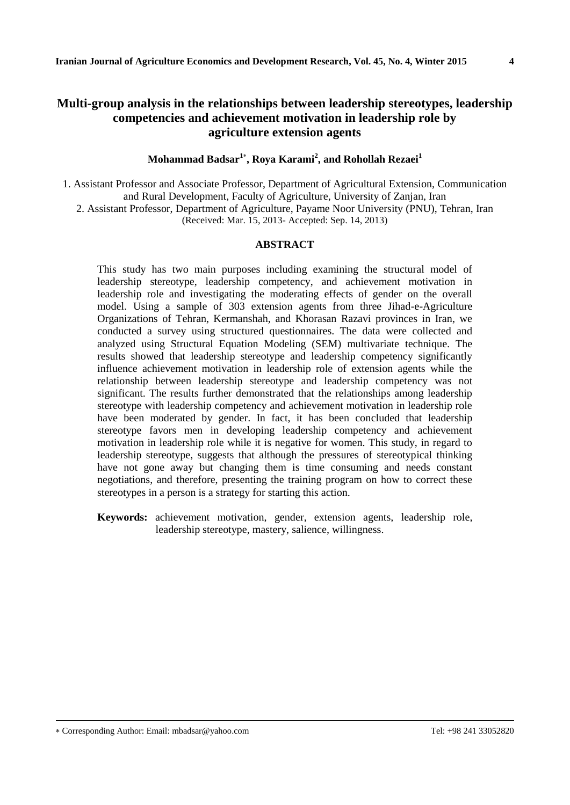## **Multi-group analysis in the relationships between leadership stereotypes, leadership competencies and achievement motivation in leadership role by agriculture extension agents**

**Mohammad Badsar<sup>1</sup> , Roya Karami<sup>2</sup> , and Rohollah Rezaei<sup>1</sup>**

1. Assistant Professor and Associate Professor, Department of Agricultural Extension, Communication and Rural Development, Faculty of Agriculture, University of Zanjan, Iran 2. Assistant Professor, Department of Agriculture, Payame Noor University (PNU), Tehran, Iran (Received: Mar. 15, 2013- Accepted: Sep. 14, 2013)

#### **ABSTRACT**

This study has two main purposes including examining the structural model of leadership stereotype, leadership competency, and achievement motivation in leadership role and investigating the moderating effects of gender on the overall model. Using a sample of 303 extension agents from three Jihad-e-Agriculture Organizations of Tehran, Kermanshah, and Khorasan Razavi provinces in Iran, we conducted a survey using structured questionnaires. The data were collected and analyzed using Structural Equation Modeling (SEM) multivariate technique. The results showed that leadership stereotype and leadership competency significantly influence achievement motivation in leadership role of extension agents while the relationship between leadership stereotype and leadership competency was not significant. The results further demonstrated that the relationships among leadership stereotype with leadership competency and achievement motivation in leadership role have been moderated by gender. In fact, it has been concluded that leadership stereotype favors men in developing leadership competency and achievement motivation in leadership role while it is negative for women. This study, in regard to leadership stereotype, suggests that although the pressures of stereotypical thinking have not gone away but changing them is time consuming and needs constant negotiations, and therefore, presenting the training program on how to correct these stereotypes in a person is a strategy for starting this action.

**Keywords:** achievement motivation, gender, extension agents, leadership role, leadership stereotype, mastery, salience, willingness.

Corresponding Author: Email: mbadsar@yahoo.com Tel: +98 241 33052820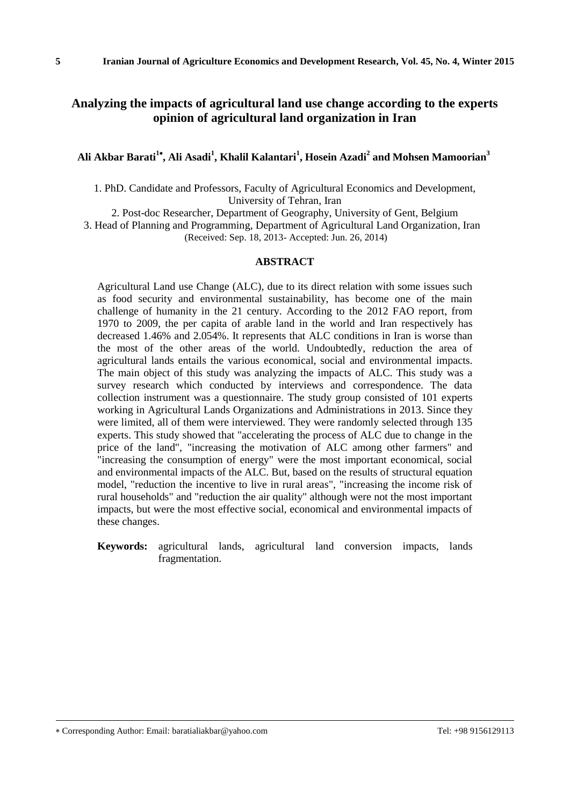## **Analyzing the impacts of agricultural land use change according to the experts opinion of agricultural land organization in Iran**

### **Ali Akbar Barati<sup>1</sup> , Ali Asadi<sup>1</sup> , Khalil Kalantari<sup>1</sup> , Hosein Azadi<sup>2</sup> and Mohsen Mamoorian<sup>3</sup>**

1. PhD. Candidate and Professors, Faculty of Agricultural Economics and Development, University of Tehran, Iran

2. Post-doc Researcher, Department of Geography, University of Gent, Belgium 3. Head of Planning and Programming, Department of Agricultural Land Organization, Iran (Received: Sep. 18, 2013- Accepted: Jun. 26, 2014)

#### **ABSTRACT**

Agricultural Land use Change (ALC), due to its direct relation with some issues such as food security and environmental sustainability, has become one of the main challenge of humanity in the 21 century. According to the 2012 FAO report, from 1970 to 2009, the per capita of arable land in the world and Iran respectively has decreased 1.46% and 2.054%. It represents that ALC conditions in Iran is worse than the most of the other areas of the world. Undoubtedly, reduction the area of agricultural lands entails the various economical, social and environmental impacts. The main object of this study was analyzing the impacts of ALC. This study was a survey research which conducted by interviews and correspondence. The data collection instrument was a questionnaire. The study group consisted of 101 experts working in Agricultural Lands Organizations and Administrations in 2013. Since they were limited, all of them were interviewed. They were randomly selected through 135 experts. This study showed that "accelerating the process of ALC due to change in the price of the land", "increasing the motivation of ALC among other farmers" and "increasing the consumption of energy" were the most important economical, social and environmental impacts of the ALC. But, based on the results of structural equation model, "reduction the incentive to live in rural areas", "increasing the income risk of rural households" and "reduction the air quality" although were not the most important impacts, but were the most effective social, economical and environmental impacts of these changes.

**Keywords:** agricultural lands, agricultural land conversion impacts, lands fragmentation.

Corresponding Author: Email: baratialiakbar@yahoo.com Tel: +98 9156129113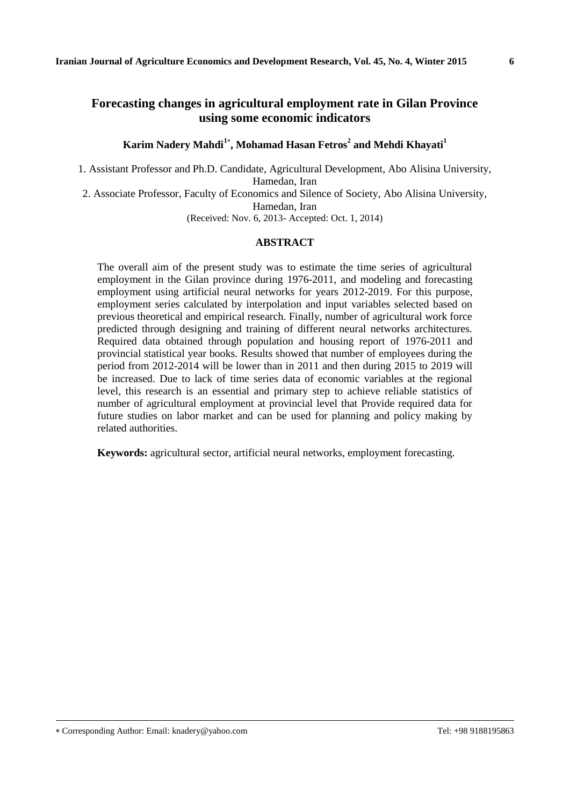## **Forecasting changes in agricultural employment rate in Gilan Province using some economic indicators**

**Karim Nadery Mahdi<sup>1</sup> , Mohamad Hasan Fetros<sup>2</sup> and Mehdi Khayati<sup>1</sup>**

1. Assistant Professor and Ph.D. Candidate, Agricultural Development, Abo Alisina University, Hamedan, Iran

2. Associate Professor, Faculty of Economics and Silence of Society, Abo Alisina University, Hamedan, Iran

(Received: Nov. 6, 2013- Accepted: Oct. 1, 2014)

### **ABSTRACT**

The overall aim of the present study was to estimate the time series of agricultural employment in the Gilan province during 1976-2011, and modeling and forecasting employment using artificial neural networks for years 2012-2019. For this purpose, employment series calculated by interpolation and input variables selected based on previous theoretical and empirical research. Finally, number of agricultural work force predicted through designing and training of different neural networks architectures. Required data obtained through population and housing report of 1976-2011 and provincial statistical year books. Results showed that number of employees during the period from 2012-2014 will be lower than in 2011 and then during 2015 to 2019 will be increased. Due to lack of time series data of economic variables at the regional level, this research is an essential and primary step to achieve reliable statistics of number of agricultural employment at provincial level that Provide required data for future studies on labor market and can be used for planning and policy making by related authorities.

**Keywords:** agricultural sector, artificial neural networks, employment forecasting.

Corresponding Author: Email: knadery@yahoo.com Tel: +98 9188195863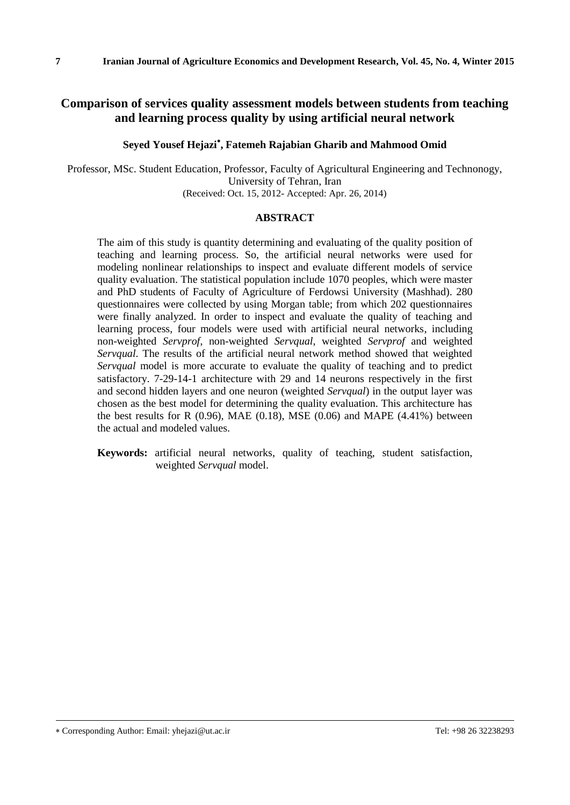## **Comparison of services quality assessment models between students from teaching and learning process quality by using artificial neural network**

### **Seyed Yousef Hejazi , Fatemeh Rajabian Gharib and Mahmood Omid**

Professor, MSc. Student Education, Professor, Faculty of Agricultural Engineering and Technonogy, University of Tehran, Iran (Received: Oct. 15, 2012- Accepted: Apr. 26, 2014)

#### **ABSTRACT**

The aim of this study is quantity determining and evaluating of the quality position of teaching and learning process. So, the artificial neural networks were used for modeling nonlinear relationships to inspect and evaluate different models of service quality evaluation. The statistical population include 1070 peoples, which were master and PhD students of Faculty of Agriculture of Ferdowsi University (Mashhad). 280 questionnaires were collected by using Morgan table; from which 202 questionnaires were finally analyzed. In order to inspect and evaluate the quality of teaching and learning process, four models were used with artificial neural networks, including non-weighted *Servprof*, non-weighted *Servqual*, weighted *Servprof* and weighted *Servqual*. The results of the artificial neural network method showed that weighted *Servqual* model is more accurate to evaluate the quality of teaching and to predict satisfactory. 7-29-14-1 architecture with 29 and 14 neurons respectively in the first and second hidden layers and one neuron (weighted *Servqual*) in the output layer was chosen as the best model for determining the quality evaluation. This architecture has the best results for R  $(0.96)$ , MAE  $(0.18)$ , MSE  $(0.06)$  and MAPE  $(4.41\%)$  between the actual and modeled values.

**Keywords:** artificial neural networks, quality of teaching, student satisfaction, weighted *Servqual* model.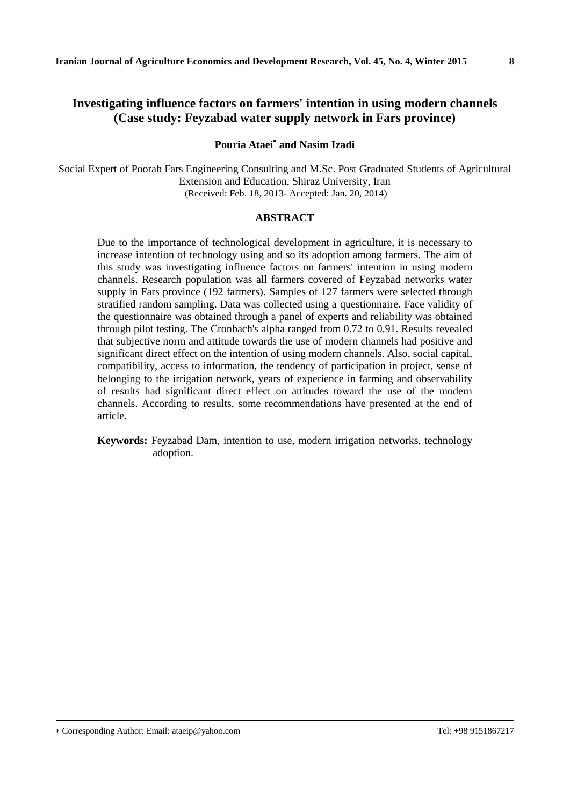## **Investigating influence factors on farmers' intention in using modern channels (Case study: Feyzabad water supply network in Fars province)**

### **Pouria Ataei and Nasim Izadi**

Social Expert of Poorab Fars Engineering Consulting and M.Sc. Post Graduated Students of Agricultural Extension and Education, Shiraz University, Iran (Received: Feb. 18, 2013- Accepted: Jan. 20, 2014)

#### **ABSTRACT**

Due to the importance of technological development in agriculture, it is necessary to increase intention of technology using and so its adoption among farmers. The aim of this study was investigating influence factors on farmers' intention in using modern channels. Research population was all farmers covered of Feyzabad networks water supply in Fars province (192 farmers). Samples of 127 farmers were selected through stratified random sampling. Data was collected using a questionnaire. Face validity of the questionnaire was obtained through a panel of experts and reliability was obtained through pilot testing. The Cronbach's alpha ranged from 0.72 to 0.91. Results revealed that subjective norm and attitude towards the use of modern channels had positive and significant direct effect on the intention of using modern channels. Also, social capital, compatibility, access to information, the tendency of participation in project, sense of belonging to the irrigation network, years of experience in farming and observability of results had significant direct effect on attitudes toward the use of the modern channels. According to results, some recommendations have presented at the end of article.

**Keywords:** Feyzabad Dam, intention to use, modern irrigation networks, technology adoption.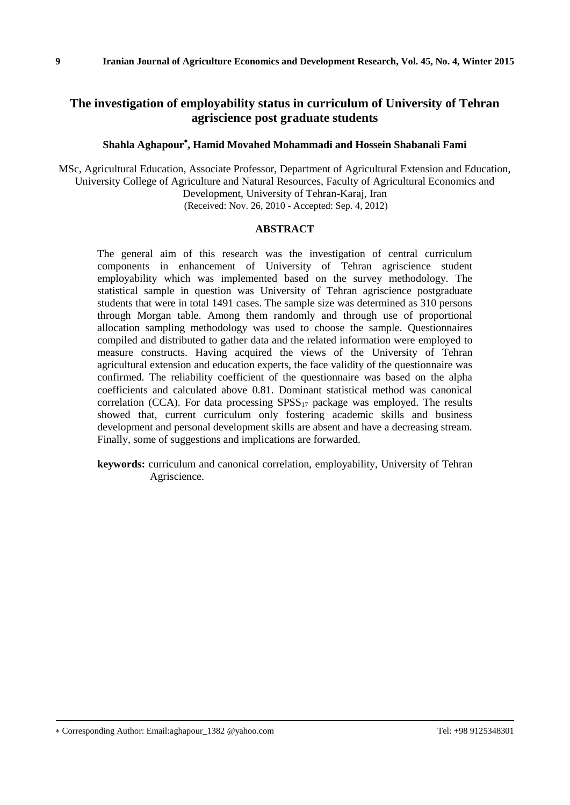## **The investigation of employability status in curriculum of University of Tehran agriscience post graduate students**

### **Shahla Aghapour , Hamid Movahed Mohammadi and Hossein Shabanali Fami**

MSc, Agricultural Education, Associate Professor, Department of Agricultural Extension and Education, University College of Agriculture and Natural Resources, Faculty of Agricultural Economics and Development, University of Tehran-Karaj, Iran (Received: Nov. 26, 2010 - Accepted: Sep. 4, 2012)

#### **ABSTRACT**

The general aim of this research was the investigation of central curriculum components in enhancement of University of Tehran agriscience student employability which was implemented based on the survey methodology. The statistical sample in question was University of Tehran agriscience postgraduate students that were in total 1491 cases. The sample size was determined as 310 persons through Morgan table. Among them randomly and through use of proportional allocation sampling methodology was used to choose the sample. Questionnaires compiled and distributed to gather data and the related information were employed to measure constructs. Having acquired the views of the University of Tehran agricultural extension and education experts, the face validity of the questionnaire was confirmed. The reliability coefficient of the questionnaire was based on the alpha coefficients and calculated above 0.81. Dominant statistical method was canonical correlation (CCA). For data processing  $SPSS_{17}$  package was employed. The results showed that, current curriculum only fostering academic skills and business development and personal development skills are absent and have a decreasing stream. Finally, some of suggestions and implications are forwarded.

**keywords:** curriculum and canonical correlation, employability, University of Tehran Agriscience.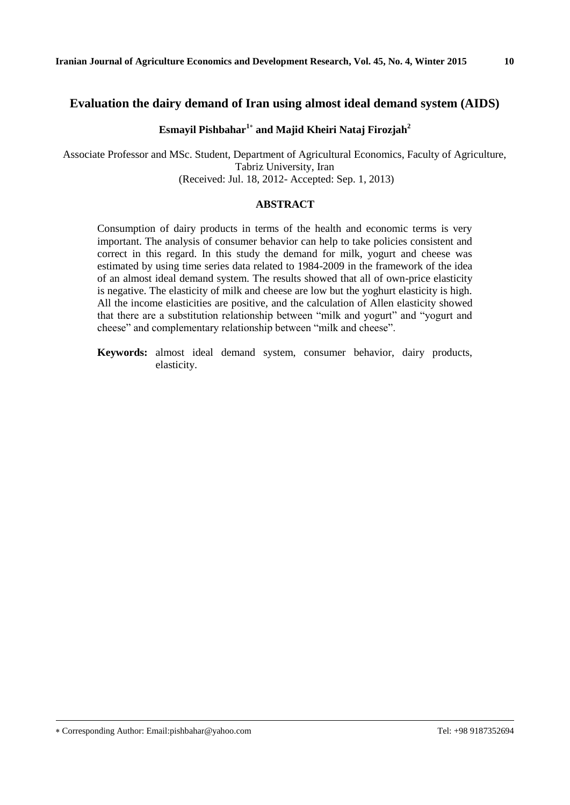## **Evaluation the dairy demand of Iran using almost ideal demand system (AIDS)**

### **Esmayil Pishbahar<sup>1</sup> and Majid Kheiri Nataj Firozjah<sup>2</sup>**

Associate Professor and MSc. Student, Department of Agricultural Economics, Faculty of Agriculture, Tabriz University, Iran (Received: Jul. 18, 2012- Accepted: Sep. 1, 2013)

#### **ABSTRACT**

Consumption of dairy products in terms of the health and economic terms is very important. The analysis of consumer behavior can help to take policies consistent and correct in this regard. In this study the demand for milk, yogurt and cheese was estimated by using time series data related to 1984-2009 in the framework of the idea of an almost ideal demand system. The results showed that all of own-price elasticity is negative. The elasticity of milk and cheese are low but the yoghurt elasticity is high. All the income elasticities are positive, and the calculation of Allen elasticity showed that there are a substitution relationship between "milk and yogurt" and "yogurt and cheese" and complementary relationship between "milk and cheese".

**Keywords:** almost ideal demand system, consumer behavior, dairy products, elasticity.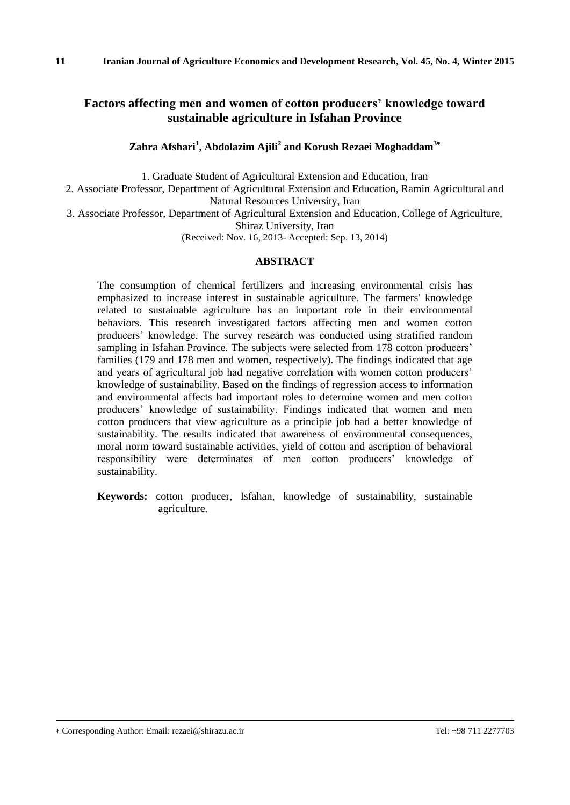## **Factors affecting men and women of cotton producers' knowledge toward sustainable agriculture in Isfahan Province**

### **Zahra Afshari<sup>1</sup> , Abdolazim Ajili<sup>2</sup> and Korush Rezaei Moghaddam<sup>3</sup>**

1. Graduate Student of Agricultural Extension and Education, Iran

2. Associate Professor, Department of Agricultural Extension and Education, Ramin Agricultural and Natural Resources University, Iran

3. Associate Professor, Department of Agricultural Extension and Education, College of Agriculture,

Shiraz University, Iran

(Received: Nov. 16, 2013- Accepted: Sep. 13, 2014)

#### **ABSTRACT**

The consumption of chemical fertilizers and increasing environmental crisis has emphasized to increase interest in sustainable agriculture. The farmers' knowledge related to sustainable agriculture has an important role in their environmental behaviors. This research investigated factors affecting men and women cotton producers' knowledge. The survey research was conducted using stratified random sampling in Isfahan Province. The subjects were selected from 178 cotton producers' families (179 and 178 men and women, respectively). The findings indicated that age and years of agricultural job had negative correlation with women cotton producers' knowledge of sustainability. Based on the findings of regression access to information and environmental affects had important roles to determine women and men cotton producers' knowledge of sustainability. Findings indicated that women and men cotton producers that view agriculture as a principle job had a better knowledge of sustainability. The results indicated that awareness of environmental consequences, moral norm toward sustainable activities, yield of cotton and ascription of behavioral responsibility were determinates of men cotton producers' knowledge of sustainability.

**Keywords:** cotton producer, Isfahan, knowledge of sustainability, sustainable agriculture.

Corresponding Author: Email: rezaei@shirazu.ac.ir Tel: +98 711 2277703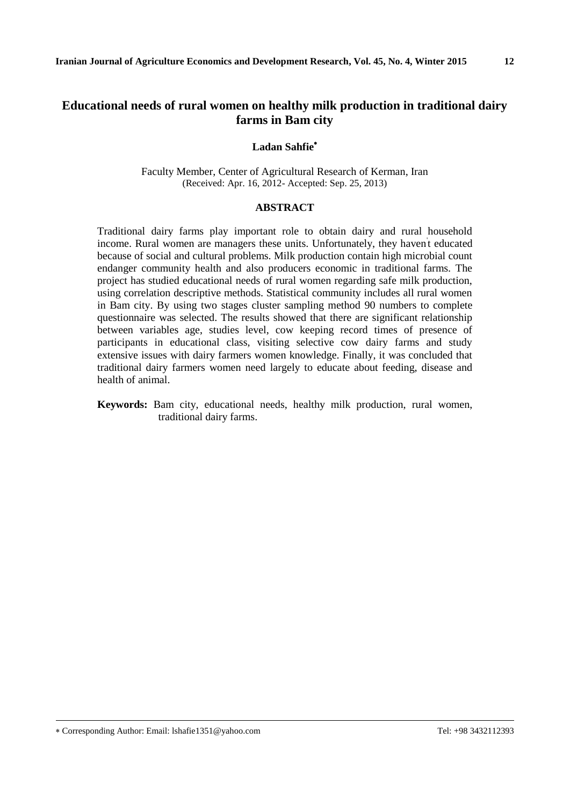# **Educational needs of rural women on healthy milk production in traditional dairy farms in Bam city**

#### **Ladan Sahfie**

Faculty Member, Center of Agricultural Research of Kerman, Iran (Received: Apr. 16, 2012- Accepted: Sep. 25, 2013)

### **ABSTRACT**

Traditional dairy farms play important role to obtain dairy and rural household income. Rural women are managers these units. Unfortunately, they haven't educated because of social and cultural problems. Milk production contain high microbial count endanger community health and also producers economic in traditional farms. The project has studied educational needs of rural women regarding safe milk production, using correlation descriptive methods. Statistical community includes all rural women in Bam city. By using two stages cluster sampling method 90 numbers to complete questionnaire was selected. The results showed that there are significant relationship between variables age, studies level, cow keeping record times of presence of participants in educational class, visiting selective cow dairy farms and study extensive issues with dairy farmers women knowledge. Finally, it was concluded that traditional dairy farmers women need largely to educate about feeding, disease and health of animal.

**Keywords:** Bam city, educational needs, healthy milk production, rural women, traditional dairy farms.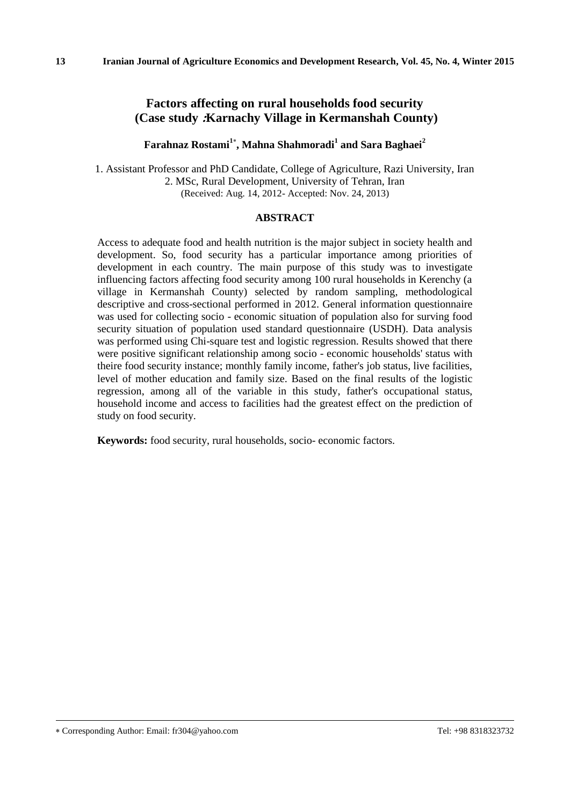## **Factors affecting on rural households food security (Case study :Karnachy Village in Kermanshah County)**

### **Farahnaz Rostami<sup>1</sup> , Mahna Shahmoradi<sup>1</sup> and Sara Baghaei<sup>2</sup>**

1. Assistant Professor and PhD Candidate, College of Agriculture, Razi University, Iran 2. MSc, Rural Development, University of Tehran, Iran (Received: Aug. 14, 2012- Accepted: Nov. 24, 2013)

#### **ABSTRACT**

Access to adequate food and health nutrition is the major subject in society health and development. So, food security has a particular importance among priorities of development in each country. The main purpose of this study was to investigate influencing factors affecting food security among 100 rural households in Kerenchy (a village in Kermanshah County) selected by random sampling, methodological descriptive and cross-sectional performed in 2012. General information questionnaire was used for collecting socio - economic situation of population also for surving food security situation of population used standard questionnaire (USDH). Data analysis was performed using Chi-square test and logistic regression. Results showed that there were positive significant relationship among socio - economic households' status with theire food security instance; monthly family income, father's job status, live facilities, level of mother education and family size. Based on the final results of the logistic regression, among all of the variable in this study, father's occupational status, household income and access to facilities had the greatest effect on the prediction of study on food security.

**Keywords:** food security, rural households, socio- economic factors.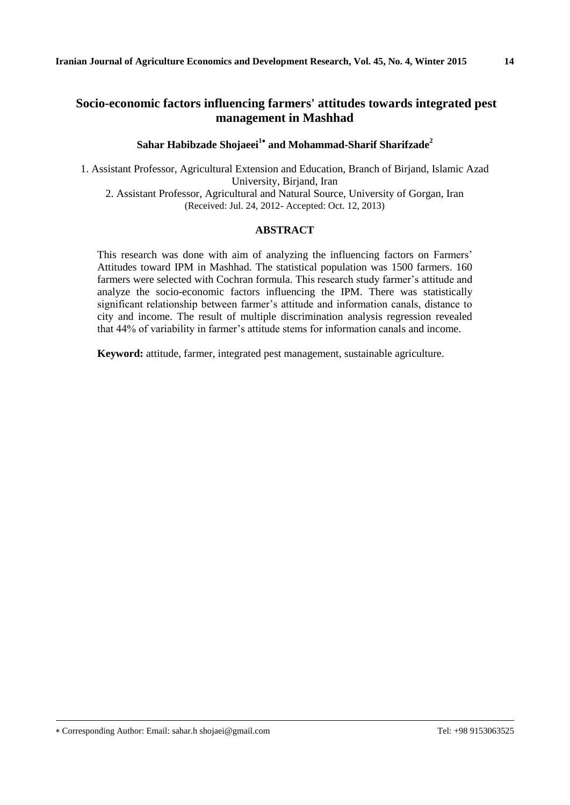# **Socio-economic factors influencing farmers' attitudes towards integrated pest management in Mashhad**

### **Sahar Habibzade Shojaeei<sup>1</sup> and Mohammad-Sharif Sharifzade<sup>2</sup>**

1. Assistant Professor, Agricultural Extension and Education, Branch of Birjand, Islamic Azad University, Birjand, Iran 2. Assistant Professor, Agricultural and Natural Source, University of Gorgan, Iran (Received: Jul. 24, 2012- Accepted: Oct. 12, 2013)

#### **ABSTRACT**

This research was done with aim of analyzing the influencing factors on Farmers' Attitudes toward IPM in Mashhad. The statistical population was 1500 farmers. 160 farmers were selected with Cochran formula. This research study farmer's attitude and analyze the socio-economic factors influencing the IPM. There was statistically significant relationship between farmer's attitude and information canals, distance to city and income. The result of multiple discrimination analysis regression revealed that 44% of variability in farmer's attitude stems for information canals and income.

**Keyword:** attitude, farmer, integrated pest management, sustainable agriculture.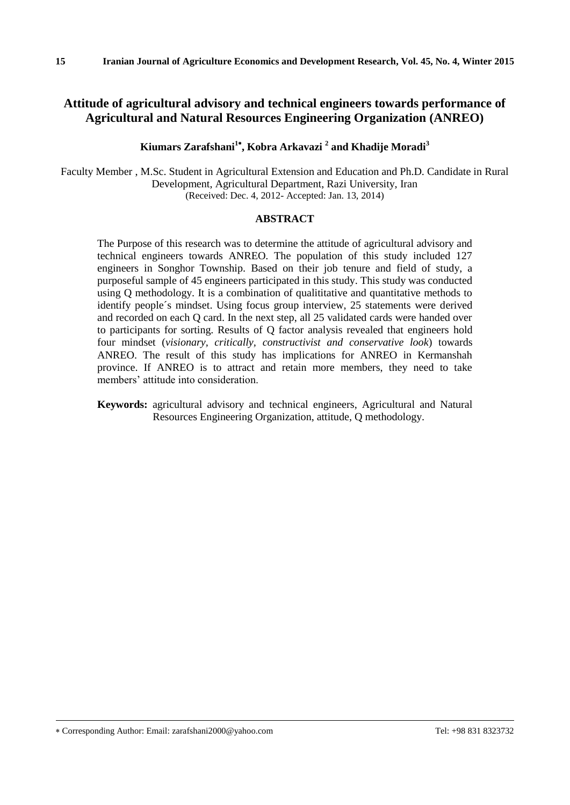# **Attitude of agricultural advisory and technical engineers towards performance of Agricultural and Natural Resources Engineering Organization (ANREO)**

## **Kiumars Zarafshani<sup>1</sup> , Kobra Arkavazi <sup>2</sup> and Khadije Moradi<sup>3</sup>**

Faculty Member , M.Sc. Student in Agricultural Extension and Education and Ph.D. Candidate in Rural Development, Agricultural Department, Razi University, Iran (Received: Dec. 4, 2012- Accepted: Jan. 13, 2014)

### **ABSTRACT**

The Purpose of this research was to determine the attitude of agricultural advisory and technical engineers towards ANREO. The population of this study included 127 engineers in Songhor Township. Based on their job tenure and field of study, a purposeful sample of 45 engineers participated in this study. This study was conducted using Q methodology. It is a combination of qualititative and quantitative methods to identify people´s mindset. Using focus group interview, 25 statements were derived and recorded on each Q card. In the next step, all 25 validated cards were handed over to participants for sorting. Results of Q factor analysis revealed that engineers hold four mindset (*visionary, critically, constructivist and conservative look*) towards ANREO. The result of this study has implications for ANREO in Kermanshah province. If ANREO is to attract and retain more members, they need to take members' attitude into consideration.

**Keywords:** agricultural advisory and technical engineers, Agricultural and Natural Resources Engineering Organization, attitude, Q methodology.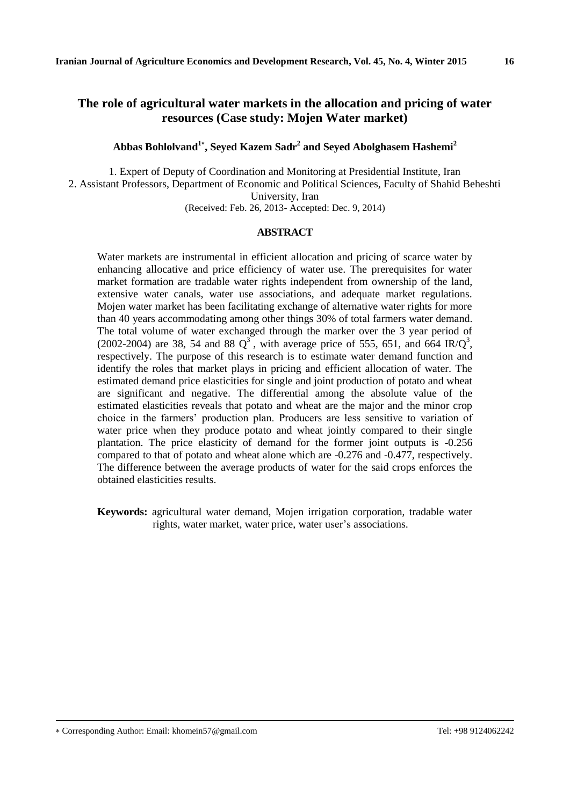# **The role of agricultural water markets in the allocation and pricing of water resources (Case study: Mojen Water market)**

**Abbas Bohlolvand<sup>1</sup> , Seyed Kazem Sadr<sup>2</sup> and Seyed Abolghasem Hashemi<sup>2</sup>**

1. Expert of Deputy of Coordination and Monitoring at Presidential Institute, Iran 2. Assistant Professors, Department of Economic and Political Sciences, Faculty of Shahid Beheshti University, Iran (Received: Feb. 26, 2013- Accepted: Dec. 9, 2014)

#### **ABSTRACT**

Water markets are instrumental in efficient allocation and pricing of scarce water by enhancing allocative and price efficiency of water use. The prerequisites for water market formation are tradable water rights independent from ownership of the land, extensive water canals, water use associations, and adequate market regulations. Mojen water market has been facilitating exchange of alternative water rights for more than 40 years accommodating among other things 30% of total farmers water demand. The total volume of water exchanged through the marker over the 3 year period of (2002-2004) are 38, 54 and 88  $Q^3$ , with average price of 555, 651, and 664 IR/ $Q^3$ , respectively. The purpose of this research is to estimate water demand function and identify the roles that market plays in pricing and efficient allocation of water. The estimated demand price elasticities for single and joint production of potato and wheat are significant and negative. The differential among the absolute value of the estimated elasticities reveals that potato and wheat are the major and the minor crop choice in the farmers' production plan. Producers are less sensitive to variation of water price when they produce potato and wheat jointly compared to their single plantation. The price elasticity of demand for the former joint outputs is -0.256 compared to that of potato and wheat alone which are -0.276 and -0.477, respectively. The difference between the average products of water for the said crops enforces the obtained elasticities results.

**Keywords:** agricultural water demand, Mojen irrigation corporation, tradable water rights, water market, water price, water user's associations.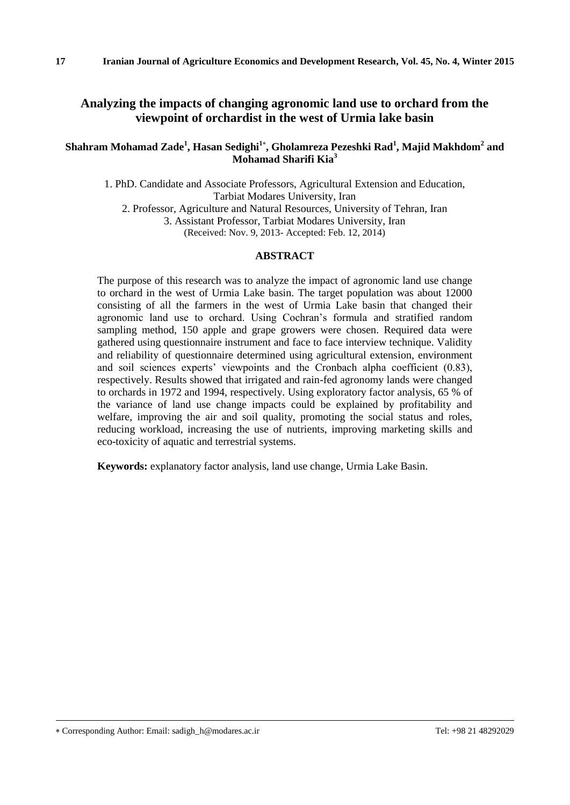## **Analyzing the impacts of changing agronomic land use to orchard from the viewpoint of orchardist in the west of Urmia lake basin**

### **Shahram Mohamad Zade<sup>1</sup> , Hasan Sedighi<sup>1</sup> , Gholamreza Pezeshki Rad<sup>1</sup> , Majid Makhdom<sup>2</sup> and Mohamad Sharifi Kia<sup>3</sup>**

1. PhD. Candidate and Associate Professors, Agricultural Extension and Education, Tarbiat Modares University, Iran 2. Professor, Agriculture and Natural Resources, University of Tehran, Iran 3. Assistant Professor, Tarbiat Modares University, Iran

(Received: Nov. 9, 2013- Accepted: Feb. 12, 2014)

### **ABSTRACT**

The purpose of this research was to analyze the impact of agronomic land use change to orchard in the west of Urmia Lake basin. The target population was about 12000 consisting of all the farmers in the west of Urmia Lake basin that changed their agronomic land use to orchard. Using Cochran's formula and stratified random sampling method, 150 apple and grape growers were chosen. Required data were gathered using questionnaire instrument and face to face interview technique. Validity and reliability of questionnaire determined using agricultural extension, environment and soil sciences experts' viewpoints and the Cronbach alpha coefficient (0.83), respectively. Results showed that irrigated and rain-fed agronomy lands were changed to orchards in 1972 and 1994, respectively. Using exploratory factor analysis, 65 % of the variance of land use change impacts could be explained by profitability and welfare, improving the air and soil quality, promoting the social status and roles, reducing workload, increasing the use of nutrients, improving marketing skills and eco-toxicity of aquatic and terrestrial systems.

**Keywords:** explanatory factor analysis, land use change, Urmia Lake Basin.